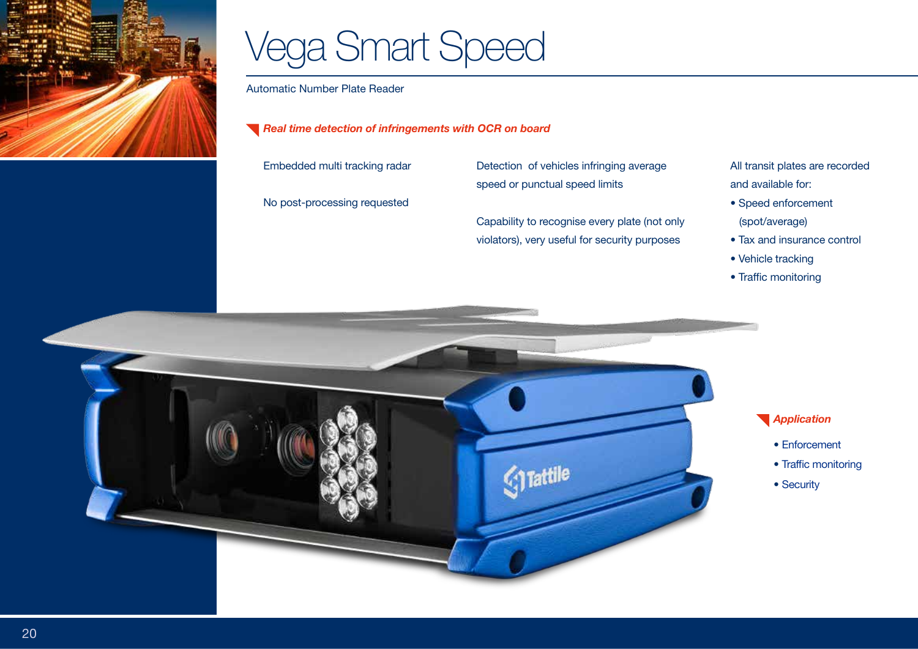

## Vega Smart Speed

Automatic Number Plate Reader

*Real time detection of infringements with OCR on board* 

Embedded multi tracking radar

No post-processing requested

Detection of vehicles infringing average speed or punctual speed limits

Capability to recognise every plate (not only violators), very useful for security purposes

All transit plates are recorded and available for:

- Speed enforcement (spot/average)
- Tax and insurance control
- Vehicle tracking
- Traffic monitoring